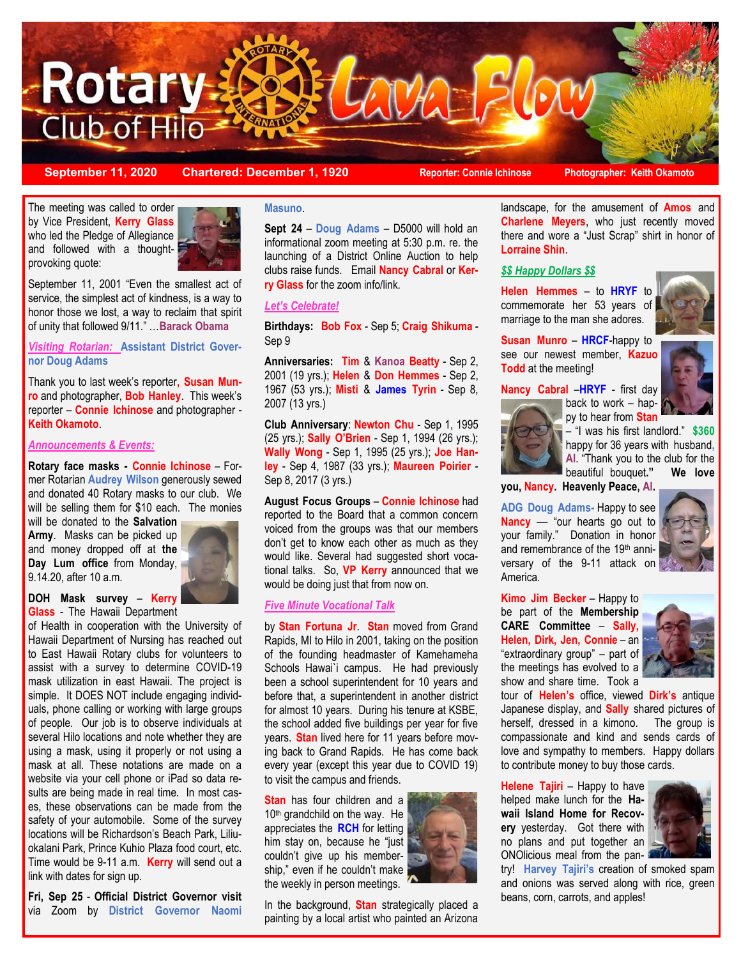

**September 11, 2020 Chartered: December 1, 1920 Reporter: Connie Ichinose Photographer: Keith Okamoto**

The meeting was called to order by Vice President, **Kerry Glass** who led the Pledge of Allegiance and followed with a thoughtprovoking quote:



September 11, 2001 "Even the smallest act of service, the simplest act of kindness, is a way to honor those we lost, a way to reclaim that spirit of unity that followed 9/11." …**Barack Obama**

*Visiting Rotarian:* **Assistant District Governor Doug Adams**

Thank you to last week's reporter**, Susan Munro** and photographer, **Bob Hanley**. This week's reporter – **Connie Ichinose** and photographer - **Keith Okamoto**.

#### *Announcements & Events:*

**Rotary face masks - Connie Ichinose** – Former Rotarian **Audrey Wilson** generously sewed and donated 40 Rotary masks to our club. We will be selling them for \$10 each. The monies

will be donated to the **Salvation Army**. Masks can be picked up and money dropped off at **the Day Lum office** from Monday, 9.14.20, after 10 a.m.



#### **DOH Mask survey** – **Kerry Glass** - The Hawaii Department

of Health in cooperation with the University of Hawaii Department of Nursing has reached out to East Hawaii Rotary clubs for volunteers to assist with a survey to determine COVID-19 mask utilization in east Hawaii. The project is simple. It DOES NOT include engaging individuals, phone calling or working with large groups of people. Our job is to observe individuals at several Hilo locations and note whether they are using a mask, using it properly or not using a mask at all. These notations are made on a website via your cell phone or iPad so data results are being made in real time. In most cases, these observations can be made from the safety of your automobile. Some of the survey locations will be Richardson's Beach Park, Liliuokalani Park, Prince Kuhio Plaza food court, etc. Time would be 9-11 a.m. **Kerry** will send out a link with dates for sign up.

**Fri, Sep 25** - **Official District Governor visit** via Zoom by **District Governor Naomi** 

#### **Masuno**.

**Sept 24** – **Doug Adams** – D5000 will hold an informational zoom meeting at 5:30 p.m. re. the launching of a District Online Auction to help clubs raise funds. Email **Nancy Cabral** or **Kerry Glass** for the zoom info/link.

#### *Let's Celebrate!*

**Birthdays: Bob Fox** - Sep 5; **Craig Shikuma** - Sep 9

**Anniversaries: Tim** & **Kanoa Beatty** - Sep 2, 2001 (19 yrs.); **Helen** & **Don Hemmes** - Sep 2, 1967 (53 yrs.); **Misti** & **James Tyrin** - Sep 8, 2007 (13 yrs.)

**Club Anniversary**: **Newton Chu** - Sep 1, 1995 (25 yrs.); **Sally O'Brien** - Sep 1, 1994 (26 yrs.); **Wally Wong** - Sep 1, 1995 (25 yrs.); **Joe Hanley** - Sep 4, 1987 (33 yrs.); **Maureen Poirier** - Sep 8, 2017 (3 yrs.)

**August Focus Groups** – **Connie Ichinose** had reported to the Board that a common concern voiced from the groups was that our members don't get to know each other as much as they would like. Several had suggested short vocational talks. So, **VP Kerry** announced that we would be doing just that from now on.

#### *Five Minute Vocational Talk*

by **Stan Fortuna Jr**. **Stan** moved from Grand Rapids, MI to Hilo in 2001, taking on the position of the founding headmaster of Kamehameha Schools Hawai'i campus. He had previously been a school superintendent for 10 years and before that, a superintendent in another district for almost 10 years. During his tenure at KSBE, the school added five buildings per year for five years. **Stan** lived here for 11 years before moving back to Grand Rapids. He has come back every year (except this year due to COVID 19) to visit the campus and friends.

**Stan** has four children and a 10<sup>th</sup> grandchild on the way. He appreciates the **RCH** for letting him stay on, because he "just couldn't give up his membership," even if he couldn't make the weekly in person meetings.

In the background, **Stan** strategically placed a painting by a local artist who painted an Arizona



landscape, for the amusement of **Amos** and **Charlene Meyers**, who just recently moved there and wore a "Just Scrap" shirt in honor of **Lorraine Shin**.

#### *\$\$ Happy Dollars \$\$*

**Helen Hemmes** – to **HRYF** to commemorate her 53 years of marriage to the man she adores.



**Susan Munro** – **HRCF**-happy to see our newest member, **Kazuo Todd** at the meeting!

## **Nancy Cabral** –**HRYF** - first day



back to work – happy to hear from **Stan**

– "I was his first landlord." **\$360**  happy for 36 years with husband**, Al**. "Thank you to the club for the beautiful bouquet**." We love** 

**you, Nancy. Heavenly Peace, Al.**

**ADG Doug Adams-** Happy to see **Nancy** –– "our hearts go out to your family." Donation in honor and remembrance of the 19th anniversary of the 9-11 attack on America.



**Kimo Jim Becker** – Happy to be part of the **Membership CARE Committee** – **Sally, Helen, Dirk, Jen, Connie** – an "extraordinary group" – part of the meetings has evolved to a show and share time. Took a



tour of **Helen's** office, viewed **Dirk's** antique Japanese display, and **Sally** shared pictures of herself, dressed in a kimono. The group is compassionate and kind and sends cards of love and sympathy to members. Happy dollars to contribute money to buy those cards.

**Helene Tajiri** – Happy to have helped make lunch for the **Hawaii Island Home for Recovery** yesterday. Got there with no plans and put together an ONOlicious meal from the pan-



try! **Harvey Tajiri's** creation of smoked spam and onions was served along with rice, green beans, corn, carrots, and apples!